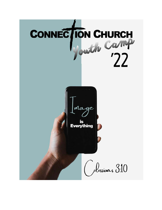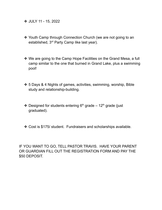- ❖ JULY 11 15, 2022
- ❖ Youth Camp through Connection Church (we are not going to an established, 3<sup>rd</sup> Party Camp like last year).
- ❖ We are going to the Camp Hope Facilities on the Grand Mesa, a full camp similar to the one that burned in Grand Lake, plus a swimming pool!
- ❖ 5 Days & 4 Nights of games, activities, swimming, worship, Bible study and relationship-building.
- ❖ Designed for students entering  $6<sup>th</sup>$  grade 12<sup>th</sup> grade (just graduated).
- ❖ Cost is \$175/ student. Fundraisers and scholarships available.

IF YOU WANT TO GO, TELL PASTOR TRAVIS. HAVE YOUR PARENT OR GUARDIAN FILL OUT THE REGISTRATION FORM AND PAY THE \$50 DEPOSIT.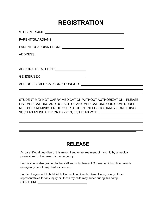## **REGISTRATION**

| PARENT/GUARDIANS AND ARREST AND A CONTROL AND A CONTROL CONTROL AND A CONTROL CONTROL CONTROL CONTROL CONTROL CONTROL CONTROL CONTROL CONTROL CONTROL CONTROL CONTROL CONTROL CONTROL CONTROL CONTROL CONTROL CONTROL CONTROL |  |
|-------------------------------------------------------------------------------------------------------------------------------------------------------------------------------------------------------------------------------|--|
|                                                                                                                                                                                                                               |  |
|                                                                                                                                                                                                                               |  |
| ,我们也不能在这里的时候,我们也不能在这里的时候,我们也不能会不能会不能会不能会不能会不能会不能会不能会不能会不能会。<br>第2012章 我们的时候,我们的时候,我们的时候,我们的时候,我们的时候,我们的时候,我们的时候,我们的时候,我们的时候,我们的时候,我们的时候,我们的时候,我                                                                               |  |
| AGE/GRADE ENTERING__________________                                                                                                                                                                                          |  |
|                                                                                                                                                                                                                               |  |
|                                                                                                                                                                                                                               |  |
| ,我们也不能会有什么。""我们的人,我们也不能会有什么?""我们的人,我们也不能会有什么?""我们的人,我们也不能会有什么?""我们的人,我们也不能会有什么?""                                                                                                                                             |  |
|                                                                                                                                                                                                                               |  |

STUDENT MAY NOT CARRY MEDICATION WITHOUT AUTHORIZATION. PLEASE LIST MEDICATIONS AND DOSAGE OF ANY MEDICATIONS OUR CAMP NURSE NEEDS TO ADMINISTER. IF YOUR STUDENT NEEDS TO CARRY SOMETHING SUCH AS AN INHALER OR EPI-PEN, LIST IT AS WELL

## **RELEASE**

As parent/legal guardian of this minor, I authorize treatment of my child by a medical professional in the case of an emergency.

Permission is also granted to the staff and volunteers of Connection Church to provide emergency care to my child as needed.

Further, I agree not to hold liable Connection Church, Camp Hope, or any of their representatives for any injury or illness my child may suffer during this camp. SIGNATURE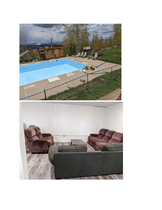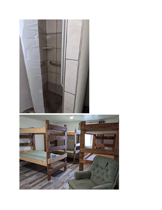